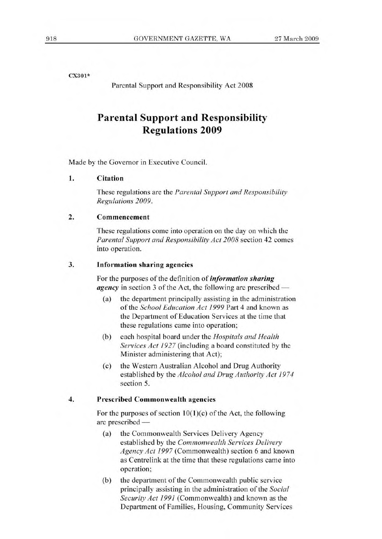**CX301\*** 

Parental Support and Responsibility Act 2008

## **Parental Support and Responsibility Regulations 2009**

Made by the Governor in Executive Council.

**1. Citation** 

These regulations are the *Parental Support and Responsibility Regulations 2009.* 

## **2. Commencement**

These regulations come into operation on the day on which the *Parental Support and Responsibility Act 2008* section 42 comes into operation.

## **3. Information sharing agencies**

For the purposes of the definition of *information sharing agency* in section 3 of the Act, the following are prescribed —

- (a) the department principally assisting in the administration of the *School Education Act 1999* Part 4 and known as the Department of Education Services at the time that these regulations came into operation;
- (b) each hospital board under the *Hospitals and Health Services Act 1927* (including a board constituted by the Minister administering that Act);
- (c) the Western Australian Alcohol and Drug Authority established by the *Alcohol and Drug Authority Act 1974*  section 5.

## **4. Prescribed Commonwealth agencies**

For the purposes of section  $10(1)(c)$  of the Act, the following are prescribed —

- (a) the Commonwealth Services Delivery Agency established by the *Commonwealth Services Delivery Agency Act 1997* (Commonwealth) section 6 and known as Centrelink at the time that these regulations came into operation;
- (b) the department of the Commonwealth public service principally assisting in the administration of the *Social Security Act 1991* (Commonwealth) and known as the Department of Families, Housing, Community Services